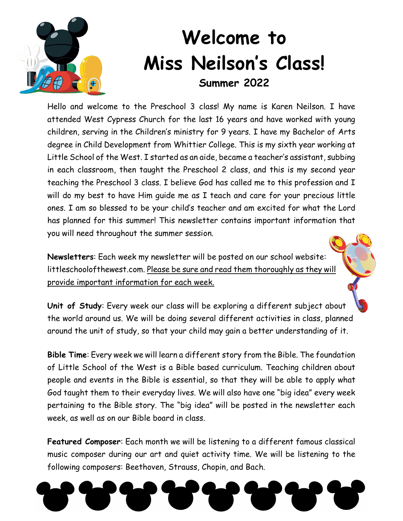

## **Welcome to Miss Neilson's Class! Summer 2022**

Hello and welcome to the Preschool 3 class! My name is Karen Neilson. I have attended West Cypress Church for the last 16 years and have worked with young children, serving in the Children's ministry for 9 years. I have my Bachelor of Arts degree in Child Development from Whittier College. This is my sixth year working at Little School of the West. I started as an aide, became a teacher's assistant, subbing in each classroom, then taught the Preschool 2 class, and this is my second year teaching the Preschool 3 class. I believe God has called me to this profession and I will do my best to have Him guide me as I teach and care for your precious little ones. I am so blessed to be your child's teacher and am excited for what the Lord has planned for this summer! This newsletter contains important information that you will need throughout the summer session.

**Newsletters**: Each week my newsletter will be posted on our school website: littleschoolofthewest.com. Please be sure and read them thoroughly as they will provide important information for each week.

**Unit of Study**: Every week our class will be exploring a different subject about the world around us. We will be doing several different activities in class, planned around the unit of study, so that your child may gain a better understanding of it.

**Bible Time**: Every week we will learn a different story from the Bible. The foundation of Little School of the West is a Bible based curriculum. Teaching children about people and events in the Bible is essential, so that they will be able to apply what God taught them to their everyday lives. We will also have one "big idea" every week pertaining to the Bible story. The "big idea" will be posted in the newsletter each week, as well as on our Bible board in class.

**Featured Composer**: Each month we will be listening to a different famous classical music composer during our art and quiet activity time. We will be listening to the following composers: Beethoven, Strauss, Chopin, and Bach.